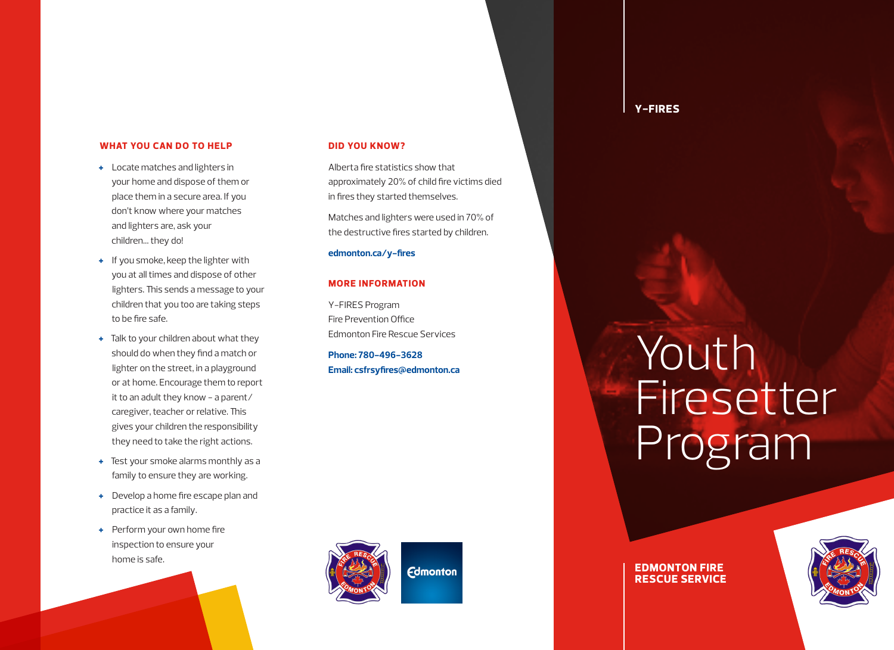### **WHAT YOU CAN DO TO HELP**

- **+** Locate matches and lighters in your home and dispose of them or place them in a secure area. If you don't know where your matches and lighters are, ask your children… they do!
- **+** If you smoke, keep the lighter with you at all times and dispose of other lighters. This sends a message to your children that you too are taking steps to be fire safe.
- **+** Talk to your children about what they should do when they find a match or lighter on the street, in a playground or at home. Encourage them to report it to an adult they know - a parent/ caregiver, teacher or relative. This gives your children the responsibility they need to take the right actions.
- **+** Test your smoke alarms monthly as a family to ensure they are working.
- **+** Develop a home fire escape plan and practice it as a family.
- **+** Perform your own home fire inspection to ensure your home is safe.

### **DID YOU KNOW?**

Alberta fire statistics show that approximately 20% of child fire victims died in fires they started themselves.

Matches and lighters were used in 70% of the destructive fires started by children.

**edmonton.ca/y-fires**

## **MORE INFORMATION**

Y-FIRES Program Fire Prevention Office Edmonton Fire Rescue Services

**Phone: 780-496-3628 Email: csfrsyfires@edmonton.ca**



# Youth Firesetter Program

**EDMONTON FIRE RESCUE SERVICE**

**Y-FIRES**